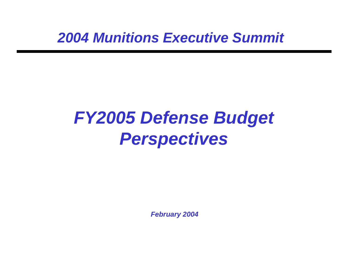*2004 Munitions Executive Summit*

# *FY2005 Defense Budget Perspectives*

*February 2004*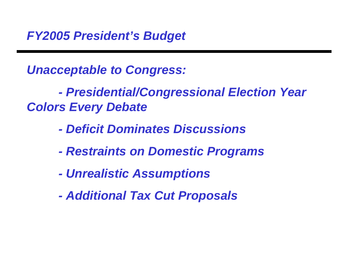*FY2005 President's Budget*

*Unacceptable to Congress:*

*- Presidential/Congressional Election Year Colors Every Debate*

- *Deficit Dominates Discussions*
- *Restraints on Domestic Programs*
- *Unrealistic Assumptions*
- *Additional Tax Cut Proposals*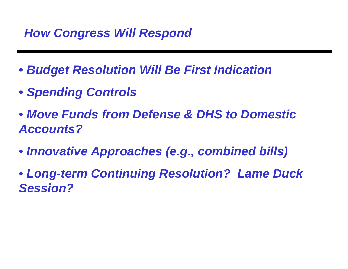### *How Congress Will Respond*

- • *Budget Resolution Will Be First Indication*
- • *Spending Controls*
- • *Move Funds from Defense & DHS to DomesticAccounts?*
- • *Innovative Approaches (e.g., combined bills)*
- • *Long-term Continuing Resolution? Lame Duck Session?*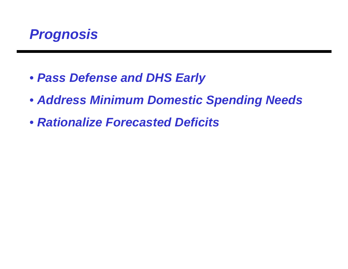

- • *Pass Defense and DHS Early*
- • *Address Minimum Domestic Spending Needs*
- • *Rationalize Forecasted Deficits*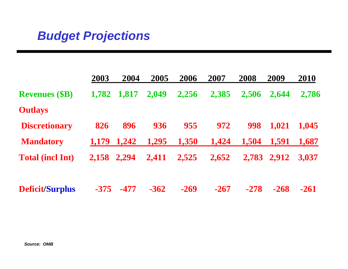#### *Budget Projections*

|                         | 2003   | 2004   | 2005   | 2006   | 2007   | 2008   | 2009   | 2010   |
|-------------------------|--------|--------|--------|--------|--------|--------|--------|--------|
| <b>Revenues (\$B)</b>   | 1,782  | 1,817  | 2,049  | 2,256  | 2,385  | 2,506  | 2,644  | 2,786  |
| <b>Outlays</b>          |        |        |        |        |        |        |        |        |
| <b>Discretionary</b>    | 826    | 896    | 936    | 955    | 972    | 998    | 1,021  | 1,045  |
| <b>Mandatory</b>        | 1,179  | 1,242  | 1,295  | 1,350  | 1,424  | 1,504  | 1,591  | 1,687  |
| <b>Total (incl Int)</b> | 2,158  | 2.294  | 2,411  | 2,525  | 2,652  | 2,783  | 2,912  | 3,037  |
| Deficit/Surplus         | $-375$ | $-477$ | $-362$ | $-269$ | $-267$ | $-278$ | $-268$ | $-261$ |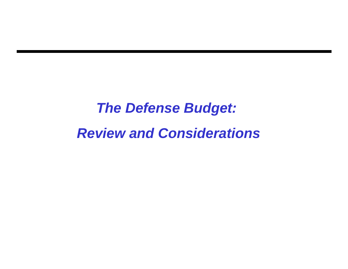## *The Defense Budget: Review and Considerations*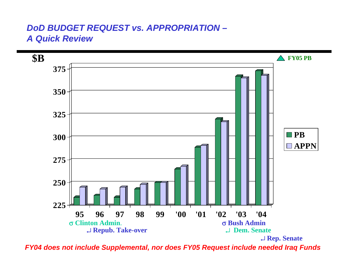#### *DoD BUDGET REQUEST vs. APPROPRIATION – A Quick Review*



 *FY04 does not include Supplemental, nor does FY05 Request include needed Iraq Funds*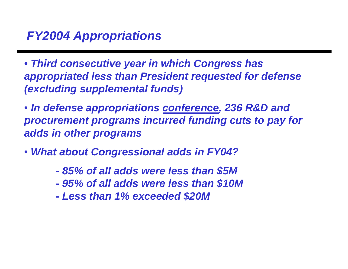#### *FY2004 Appropriations*

• *Third consecutive year in which Congress has appropriated less than President requested for defense (excluding supplemental funds)*

• *In defense appropriations conference, 236 R&D and procurement programs incurred funding cuts to pay for adds in other programs*

- • *What about Congressional adds in FY04?*
	- *85% of all adds were less than \$5M*
	- *95% of all adds were less than \$10M*
	- *Less than 1% exceeded \$20M*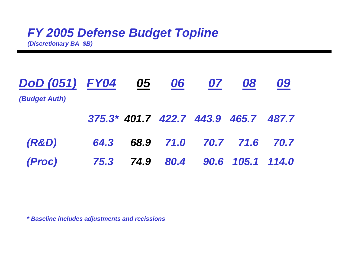#### *FY 2005 Defense Budget Topline*

*(Discretionary BA \$B)*

| DoD (051) FY04 05 06 |  | 07                                   | 08 | 09 |
|----------------------|--|--------------------------------------|----|----|
| (Budget Auth)        |  |                                      |    |    |
|                      |  | 375.3* 401.7 422.7 443.9 465.7 487.7 |    |    |
| <b>(R&amp;D)</b>     |  | 64.3 68.9 71.0 70.7 71.6 70.7        |    |    |
| (Proc)               |  | 75.3 74.9 80.4 90.6 105.1 114.0      |    |    |

*\* Baseline includes adjustments and recissions*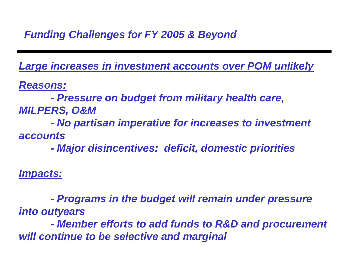*Funding Challenges for FY 2005 & Beyond*

*Large increases in investment accounts over POM unlikely*

*Reasons:*

*- Pressure on budget from military health care, MILPERS, O&M*

 *- No partisan imperative for increases to investment accounts*

 *- Major disincentives: deficit, domestic priorities*

*Impacts:*

*- Programs in the budget will remain under pressure into outyears*

*- Member efforts to add funds to R&D and procurement will continue to be selective and marginal*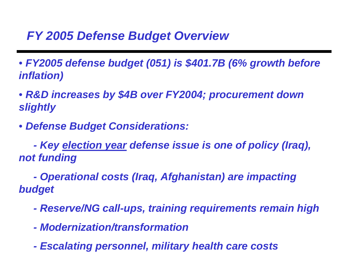#### *FY 2005 Defense Budget Overview*

• *FY2005 defense budget (051) is \$401.7B (6% growth before inflation)*

• *R&D increases by \$4B over FY2004; procurement down slightly*

• *Defense Budget Considerations:*

 *- Key election year defense issue is one of policy (Iraq), not funding*

 *- Operational costs (Iraq, Afghanistan) are impacting budget*

- *Reserve/NG call-ups, training requirements remain high*
- *Modernization/transformation*
- *Escalating personnel, military health care costs*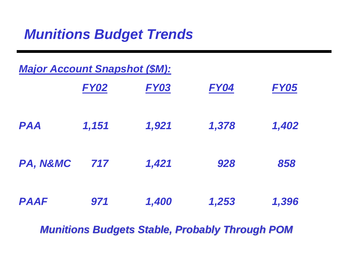### *Munitions Budget Trends*

| <b>Major Account Snapshot (\$M):</b> |             |                                                                                                                                                                                                                                                                                              |       |             |  |
|--------------------------------------|-------------|----------------------------------------------------------------------------------------------------------------------------------------------------------------------------------------------------------------------------------------------------------------------------------------------|-------|-------------|--|
|                                      | <b>FY02</b> | <b>FY03</b>                                                                                                                                                                                                                                                                                  | FY04  | <b>FY05</b> |  |
| <b>PAA</b>                           | 1,151       | 1,921                                                                                                                                                                                                                                                                                        | 1,378 | 1,402       |  |
| PA, N&MC                             | 717         | 1,421                                                                                                                                                                                                                                                                                        | 928   | 858         |  |
| <b>PAAF</b>                          | 971         | 1,400                                                                                                                                                                                                                                                                                        | 1,253 | 1,396       |  |
|                                      |             | <b>Contract on the Contract of the Contract of Contract of the Contract of Contract of the Contract of The Contract of The Contract of The Contract of The Contract of The Contract of The Contract of The Contract of The Contr</b><br><b>Contract Contract Contract Contract</b><br>$\sim$ |       |             |  |

*Munitions Budgets Stable, Probably Through POM*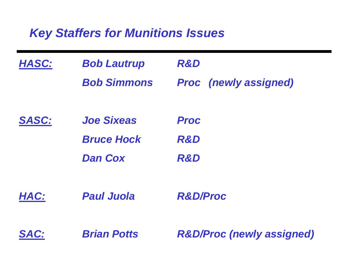#### *Key Staffers for Munitions Issues*

| HASC:        | <b>Bob Lautrup</b> | <b>R&amp;D</b>                       |
|--------------|--------------------|--------------------------------------|
|              | <b>Bob Simmons</b> | <b>Proc</b> (newly assigned)         |
| <b>SASC:</b> | <b>Joe Sixeas</b>  | <b>Proc</b>                          |
|              | <b>Bruce Hock</b>  | <b>R&amp;D</b>                       |
|              | <b>Dan Cox</b>     | <b>R&amp;D</b>                       |
| HAC:         | <b>Paul Juola</b>  | <b>R&amp;D/Proc</b>                  |
| SAC:         | <b>Brian Potts</b> | <b>R&amp;D/Proc (newly assigned)</b> |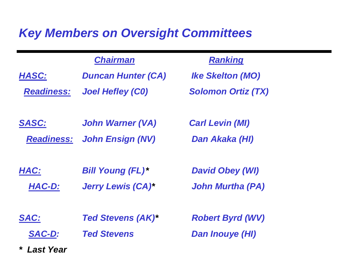#### *Key Members on Oversight Committees*

|                   | <b>Chairman</b>           | <b>Ranking</b>            |
|-------------------|---------------------------|---------------------------|
| HASC:             | <b>Duncan Hunter (CA)</b> | <b>Ike Skelton (MO)</b>   |
| <b>Readiness:</b> | <b>Joel Hefley (CO)</b>   | <b>Solomon Ortiz (TX)</b> |
| <b>SASC:</b>      | <b>John Warner (VA)</b>   | <b>Carl Levin (MI)</b>    |
| <b>Readiness:</b> | <b>John Ensign (NV)</b>   | Dan Akaka (HI)            |
| HAC:              | <b>Bill Young (FL)*</b>   | <b>David Obey (WI)</b>    |
| HAC-D:            | <b>Jerry Lewis (CA)*</b>  | <b>John Murtha (PA)</b>   |
| <b>SAC:</b>       | <b>Ted Stevens (AK)*</b>  | <b>Robert Byrd (WV)</b>   |

 *SAC-D: Ted Stevens Dan Inouye (HI)*

*\* Last Year*